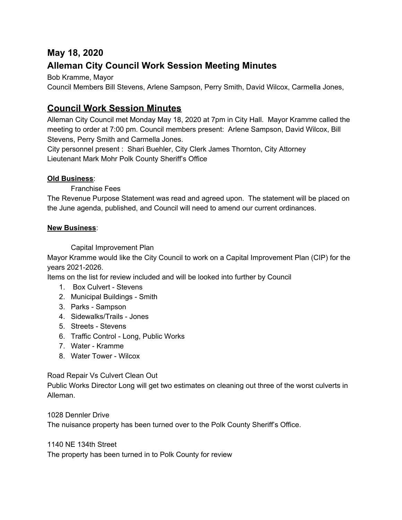## **May 18, 2020 Alleman City Council Work Session Meeting Minutes**

Bob Kramme, Mayor

Council Members Bill Stevens, Arlene Sampson, Perry Smith, David Wilcox, Carmella Jones,

## **Council Work Session Minutes**

Alleman City Council met Monday May 18, 2020 at 7pm in City Hall. Mayor Kramme called the meeting to order at 7:00 pm. Council members present: Arlene Sampson, David Wilcox, Bill Stevens, Perry Smith and Carmella Jones.

City personnel present : Shari Buehler, City Clerk James Thornton, City Attorney Lieutenant Mark Mohr Polk County Sheriff's Office

## **Old Business**:

Franchise Fees

The Revenue Purpose Statement was read and agreed upon. The statement will be placed on the June agenda, published, and Council will need to amend our current ordinances.

## **New Business**:

Capital Improvement Plan

Mayor Kramme would like the City Council to work on a Capital Improvement Plan (CIP) for the years 2021-2026.

Items on the list for review included and will be looked into further by Council

- 1. Box Culvert Stevens
- 2. Municipal Buildings Smith
- 3. Parks Sampson
- 4. Sidewalks/Trails Jones
- 5. Streets Stevens
- 6. Traffic Control Long, Public Works
- 7. Water Kramme
- 8. Water Tower Wilcox

Road Repair Vs Culvert Clean Out

Public Works Director Long will get two estimates on cleaning out three of the worst culverts in Alleman.

1028 Dennler Drive

The nuisance property has been turned over to the Polk County Sheriff's Office.

1140 NE 134th Street

The property has been turned in to Polk County for review